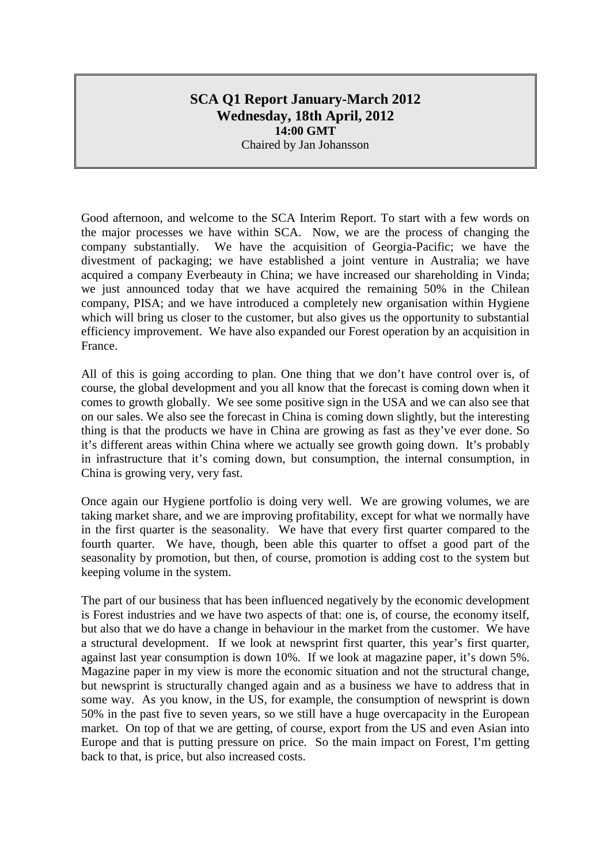# **SCA Q1 Report January-March 2012 Wednesday, 18th April, 2012 14:00 GMT** Chaired by Jan Johansson

Good afternoon, and welcome to the SCA Interim Report. To start with a few words on the major processes we have within SCA. Now, we are the process of changing the company substantially. We have the acquisition of Georgia-Pacific; we have the divestment of packaging; we have established a joint venture in Australia; we have acquired a company Everbeauty in China; we have increased our shareholding in Vinda; we just announced today that we have acquired the remaining 50% in the Chilean company, PISA; and we have introduced a completely new organisation within Hygiene which will bring us closer to the customer, but also gives us the opportunity to substantial efficiency improvement. We have also expanded our Forest operation by an acquisition in France.

All of this is going according to plan. One thing that we don't have control over is, of course, the global development and you all know that the forecast is coming down when it comes to growth globally. We see some positive sign in the USA and we can also see that on our sales. We also see the forecast in China is coming down slightly, but the interesting thing is that the products we have in China are growing as fast as they've ever done. So it's different areas within China where we actually see growth going down. It's probably in infrastructure that it's coming down, but consumption, the internal consumption, in China is growing very, very fast.

Once again our Hygiene portfolio is doing very well. We are growing volumes, we are taking market share, and we are improving profitability, except for what we normally have in the first quarter is the seasonality. We have that every first quarter compared to the fourth quarter. We have, though, been able this quarter to offset a good part of the seasonality by promotion, but then, of course, promotion is adding cost to the system but keeping volume in the system.

The part of our business that has been influenced negatively by the economic development is Forest industries and we have two aspects of that: one is, of course, the economy itself, but also that we do have a change in behaviour in the market from the customer. We have a structural development. If we look at newsprint first quarter, this year's first quarter, against last year consumption is down 10%. If we look at magazine paper, it's down 5%. Magazine paper in my view is more the economic situation and not the structural change, but newsprint is structurally changed again and as a business we have to address that in some way. As you know, in the US, for example, the consumption of newsprint is down 50% in the past five to seven years, so we still have a huge overcapacity in the European market. On top of that we are getting, of course, export from the US and even Asian into Europe and that is putting pressure on price. So the main impact on Forest, I'm getting back to that, is price, but also increased costs.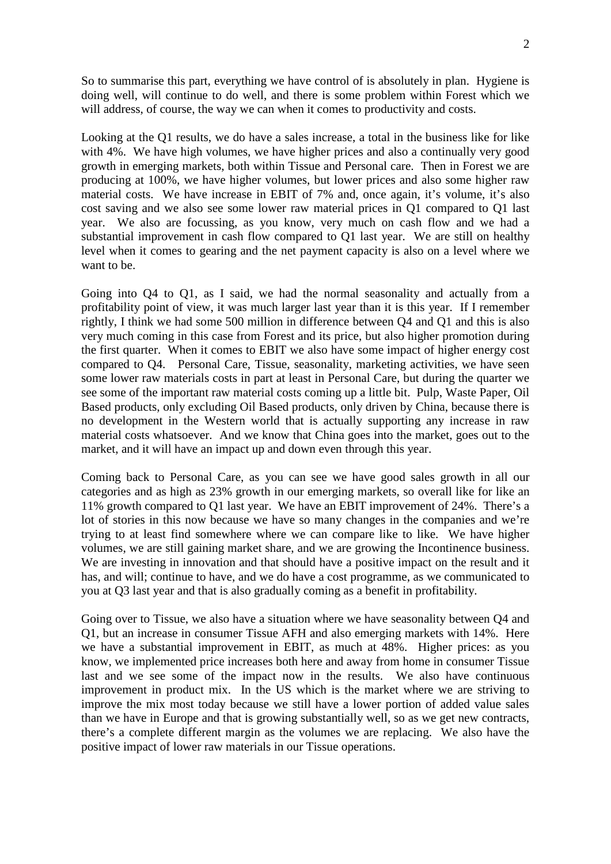So to summarise this part, everything we have control of is absolutely in plan. Hygiene is doing well, will continue to do well, and there is some problem within Forest which we will address, of course, the way we can when it comes to productivity and costs.

Looking at the Q1 results, we do have a sales increase, a total in the business like for like with 4%. We have high volumes, we have higher prices and also a continually very good growth in emerging markets, both within Tissue and Personal care. Then in Forest we are producing at 100%, we have higher volumes, but lower prices and also some higher raw material costs. We have increase in EBIT of 7% and, once again, it's volume, it's also cost saving and we also see some lower raw material prices in Q1 compared to Q1 last year. We also are focussing, as you know, very much on cash flow and we had a substantial improvement in cash flow compared to Q1 last year. We are still on healthy level when it comes to gearing and the net payment capacity is also on a level where we want to be.

Going into Q4 to Q1, as I said, we had the normal seasonality and actually from a profitability point of view, it was much larger last year than it is this year. If I remember rightly, I think we had some 500 million in difference between Q4 and Q1 and this is also very much coming in this case from Forest and its price, but also higher promotion during the first quarter. When it comes to EBIT we also have some impact of higher energy cost compared to Q4. Personal Care, Tissue, seasonality, marketing activities, we have seen some lower raw materials costs in part at least in Personal Care, but during the quarter we see some of the important raw material costs coming up a little bit. Pulp, Waste Paper, Oil Based products, only excluding Oil Based products, only driven by China, because there is no development in the Western world that is actually supporting any increase in raw material costs whatsoever. And we know that China goes into the market, goes out to the market, and it will have an impact up and down even through this year.

Coming back to Personal Care, as you can see we have good sales growth in all our categories and as high as 23% growth in our emerging markets, so overall like for like an 11% growth compared to Q1 last year. We have an EBIT improvement of 24%. There's a lot of stories in this now because we have so many changes in the companies and we're trying to at least find somewhere where we can compare like to like. We have higher volumes, we are still gaining market share, and we are growing the Incontinence business. We are investing in innovation and that should have a positive impact on the result and it has, and will; continue to have, and we do have a cost programme, as we communicated to you at Q3 last year and that is also gradually coming as a benefit in profitability.

Going over to Tissue, we also have a situation where we have seasonality between Q4 and Q1, but an increase in consumer Tissue AFH and also emerging markets with 14%. Here we have a substantial improvement in EBIT, as much at 48%. Higher prices: as you know, we implemented price increases both here and away from home in consumer Tissue last and we see some of the impact now in the results. We also have continuous improvement in product mix. In the US which is the market where we are striving to improve the mix most today because we still have a lower portion of added value sales than we have in Europe and that is growing substantially well, so as we get new contracts, there's a complete different margin as the volumes we are replacing. We also have the positive impact of lower raw materials in our Tissue operations.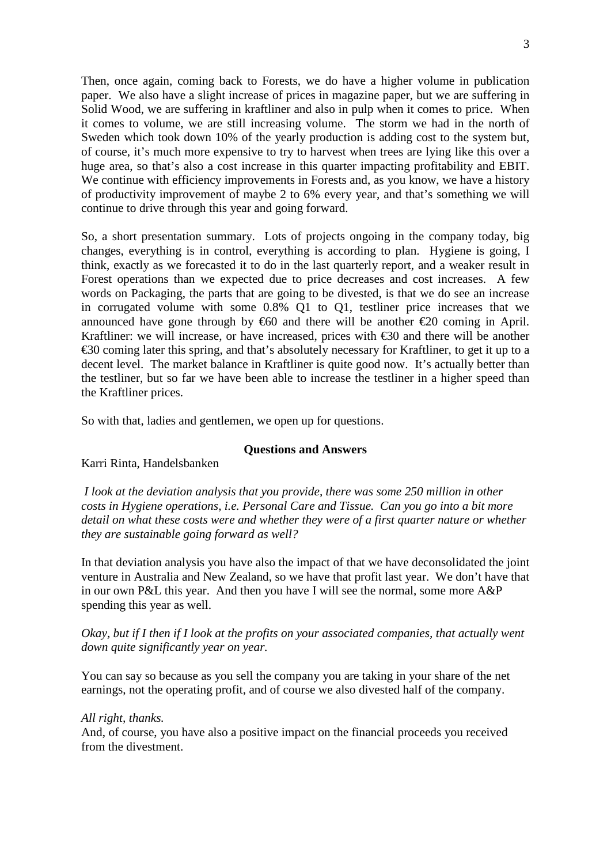Then, once again, coming back to Forests, we do have a higher volume in publication paper. We also have a slight increase of prices in magazine paper, but we are suffering in Solid Wood, we are suffering in kraftliner and also in pulp when it comes to price. When it comes to volume, we are still increasing volume. The storm we had in the north of Sweden which took down 10% of the yearly production is adding cost to the system but, of course, it's much more expensive to try to harvest when trees are lying like this over a huge area, so that's also a cost increase in this quarter impacting profitability and EBIT. We continue with efficiency improvements in Forests and, as you know, we have a history of productivity improvement of maybe 2 to 6% every year, and that's something we will continue to drive through this year and going forward.

So, a short presentation summary. Lots of projects ongoing in the company today, big changes, everything is in control, everything is according to plan. Hygiene is going, I think, exactly as we forecasted it to do in the last quarterly report, and a weaker result in Forest operations than we expected due to price decreases and cost increases. A few words on Packaging, the parts that are going to be divested, is that we do see an increase in corrugated volume with some 0.8% Q1 to Q1, testliner price increases that we announced have gone through by  $660$  and there will be another  $620$  coming in April. Kraftliner: we will increase, or have increased, prices with  $\epsilon$ 30 and there will be another €30 coming later this spring, and that's absolutely necessary for Kraftliner, to get it up to a decent level. The market balance in Kraftliner is quite good now. It's actually better than the testliner, but so far we have been able to increase the testliner in a higher speed than the Kraftliner prices.

So with that, ladies and gentlemen, we open up for questions.

#### **Questions and Answers**

Karri Rinta, Handelsbanken

*I look at the deviation analysis that you provide, there was some 250 million in other costs in Hygiene operations, i.e. Personal Care and Tissue. Can you go into a bit more detail on what these costs were and whether they were of a first quarter nature or whether they are sustainable going forward as well?*

In that deviation analysis you have also the impact of that we have deconsolidated the joint venture in Australia and New Zealand, so we have that profit last year. We don't have that in our own P&L this year. And then you have I will see the normal, some more A&P spending this year as well.

*Okay, but if I then if I look at the profits on your associated companies, that actually went down quite significantly year on year.*

You can say so because as you sell the company you are taking in your share of the net earnings, not the operating profit, and of course we also divested half of the company.

#### *All right, thanks.*

And, of course, you have also a positive impact on the financial proceeds you received from the divestment.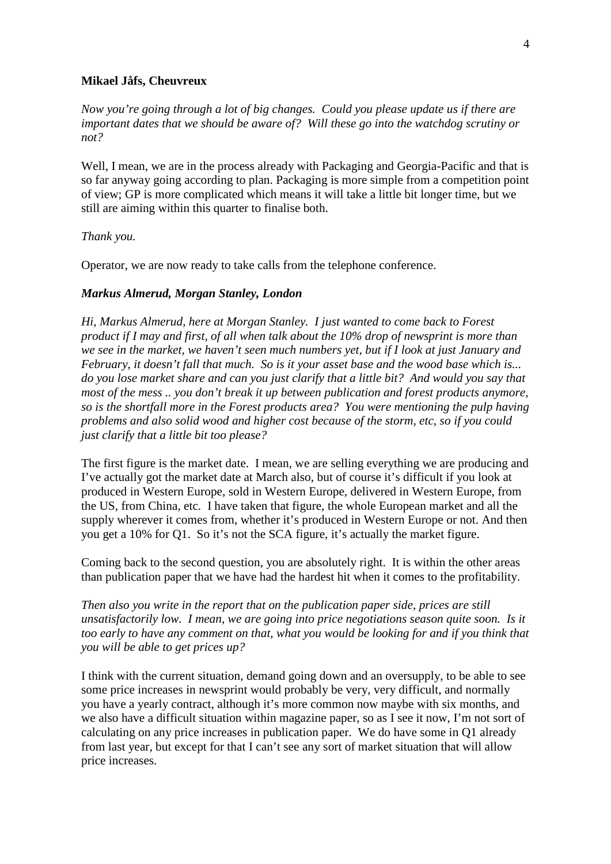#### **Mikael Jåfs, Cheuvreux**

*Now you're going through a lot of big changes. Could you please update us if there are important dates that we should be aware of? Will these go into the watchdog scrutiny or not?* 

Well, I mean, we are in the process already with Packaging and Georgia-Pacific and that is so far anyway going according to plan. Packaging is more simple from a competition point of view; GP is more complicated which means it will take a little bit longer time, but we still are aiming within this quarter to finalise both.

*Thank you.*

Operator, we are now ready to take calls from the telephone conference.

#### *Markus Almerud, Morgan Stanley, London*

*Hi, Markus Almerud, here at Morgan Stanley. I just wanted to come back to Forest product if I may and first, of all when talk about the 10% drop of newsprint is more than we see in the market, we haven't seen much numbers yet, but if I look at just January and February, it doesn't fall that much. So is it your asset base and the wood base which is... do you lose market share and can you just clarify that a little bit? And would you say that most of the mess .. you don't break it up between publication and forest products anymore, so is the shortfall more in the Forest products area? You were mentioning the pulp having problems and also solid wood and higher cost because of the storm, etc, so if you could just clarify that a little bit too please?*

The first figure is the market date. I mean, we are selling everything we are producing and I've actually got the market date at March also, but of course it's difficult if you look at produced in Western Europe, sold in Western Europe, delivered in Western Europe, from the US, from China, etc. I have taken that figure, the whole European market and all the supply wherever it comes from, whether it's produced in Western Europe or not. And then you get a 10% for Q1. So it's not the SCA figure, it's actually the market figure.

Coming back to the second question, you are absolutely right. It is within the other areas than publication paper that we have had the hardest hit when it comes to the profitability.

*Then also you write in the report that on the publication paper side, prices are still unsatisfactorily low. I mean, we are going into price negotiations season quite soon. Is it*  too early to have any comment on that, what you would be looking for and if you think that *you will be able to get prices up?*

I think with the current situation, demand going down and an oversupply, to be able to see some price increases in newsprint would probably be very, very difficult, and normally you have a yearly contract, although it's more common now maybe with six months, and we also have a difficult situation within magazine paper, so as I see it now, I'm not sort of calculating on any price increases in publication paper. We do have some in Q1 already from last year, but except for that I can't see any sort of market situation that will allow price increases.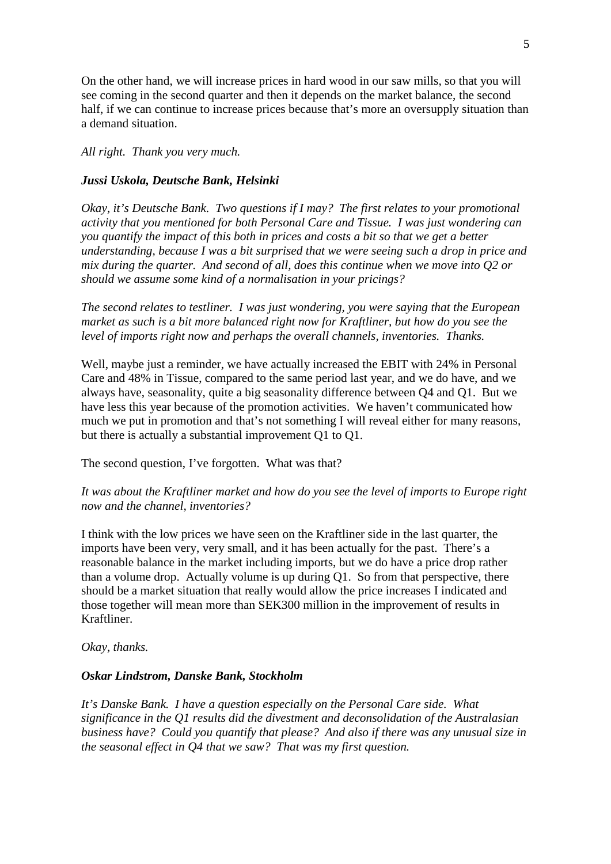On the other hand, we will increase prices in hard wood in our saw mills, so that you will see coming in the second quarter and then it depends on the market balance, the second half, if we can continue to increase prices because that's more an oversupply situation than a demand situation.

*All right. Thank you very much.*

#### *Jussi Uskola, Deutsche Bank, Helsinki*

*Okay, it's Deutsche Bank. Two questions if I may? The first relates to your promotional activity that you mentioned for both Personal Care and Tissue. I was just wondering can you quantify the impact of this both in prices and costs a bit so that we get a better understanding, because I was a bit surprised that we were seeing such a drop in price and mix during the quarter. And second of all, does this continue when we move into Q2 or should we assume some kind of a normalisation in your pricings?*

*The second relates to testliner. I was just wondering, you were saying that the European market as such is a bit more balanced right now for Kraftliner, but how do you see the level of imports right now and perhaps the overall channels, inventories. Thanks.*

Well, maybe just a reminder, we have actually increased the EBIT with 24% in Personal Care and 48% in Tissue, compared to the same period last year, and we do have, and we always have, seasonality, quite a big seasonality difference between Q4 and Q1. But we have less this year because of the promotion activities. We haven't communicated how much we put in promotion and that's not something I will reveal either for many reasons, but there is actually a substantial improvement Q1 to Q1.

The second question, I've forgotten. What was that?

*It was about the Kraftliner market and how do you see the level of imports to Europe right now and the channel, inventories?*

I think with the low prices we have seen on the Kraftliner side in the last quarter, the imports have been very, very small, and it has been actually for the past. There's a reasonable balance in the market including imports, but we do have a price drop rather than a volume drop. Actually volume is up during Q1. So from that perspective, there should be a market situation that really would allow the price increases I indicated and those together will mean more than SEK300 million in the improvement of results in Kraftliner.

*Okay, thanks.*

#### *Oskar Lindstrom, Danske Bank, Stockholm*

*It's Danske Bank. I have a question especially on the Personal Care side. What significance in the Q1 results did the divestment and deconsolidation of the Australasian business have? Could you quantify that please? And also if there was any unusual size in the seasonal effect in Q4 that we saw? That was my first question.*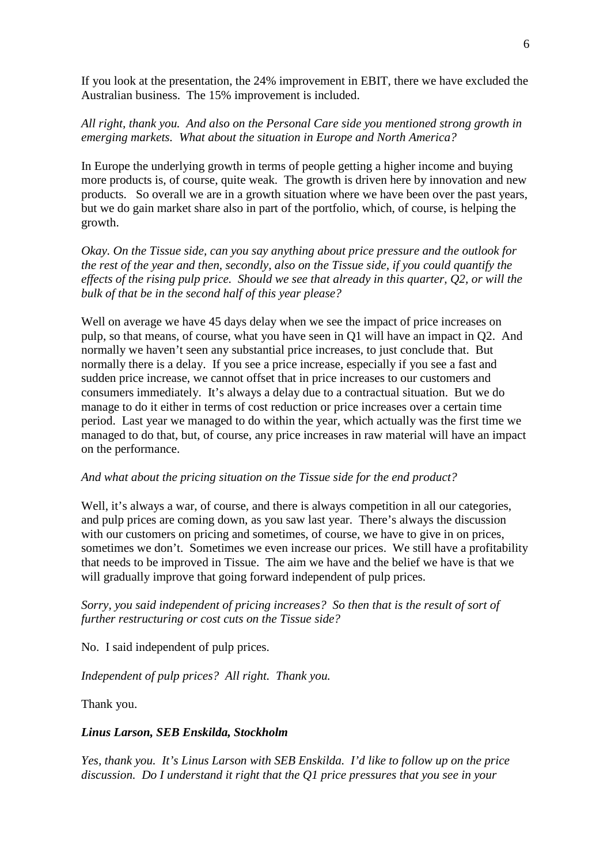If you look at the presentation, the 24% improvement in EBIT, there we have excluded the Australian business. The 15% improvement is included.

### *All right, thank you. And also on the Personal Care side you mentioned strong growth in emerging markets. What about the situation in Europe and North America?*

In Europe the underlying growth in terms of people getting a higher income and buying more products is, of course, quite weak. The growth is driven here by innovation and new products. So overall we are in a growth situation where we have been over the past years, but we do gain market share also in part of the portfolio, which, of course, is helping the growth.

*Okay. On the Tissue side, can you say anything about price pressure and the outlook for the rest of the year and then, secondly, also on the Tissue side, if you could quantify the effects of the rising pulp price. Should we see that already in this quarter, Q2, or will the bulk of that be in the second half of this year please?*

Well on average we have 45 days delay when we see the impact of price increases on pulp, so that means, of course, what you have seen in Q1 will have an impact in Q2. And normally we haven't seen any substantial price increases, to just conclude that. But normally there is a delay. If you see a price increase, especially if you see a fast and sudden price increase, we cannot offset that in price increases to our customers and consumers immediately. It's always a delay due to a contractual situation. But we do manage to do it either in terms of cost reduction or price increases over a certain time period. Last year we managed to do within the year, which actually was the first time we managed to do that, but, of course, any price increases in raw material will have an impact on the performance.

#### *And what about the pricing situation on the Tissue side for the end product?*

Well, it's always a war, of course, and there is always competition in all our categories, and pulp prices are coming down, as you saw last year. There's always the discussion with our customers on pricing and sometimes, of course, we have to give in on prices, sometimes we don't. Sometimes we even increase our prices. We still have a profitability that needs to be improved in Tissue. The aim we have and the belief we have is that we will gradually improve that going forward independent of pulp prices.

### *Sorry, you said independent of pricing increases? So then that is the result of sort of further restructuring or cost cuts on the Tissue side?*

No. I said independent of pulp prices.

*Independent of pulp prices? All right. Thank you.*

Thank you.

#### *Linus Larson, SEB Enskilda, Stockholm*

*Yes, thank you. It's Linus Larson with SEB Enskilda. I'd like to follow up on the price discussion. Do I understand it right that the Q1 price pressures that you see in your*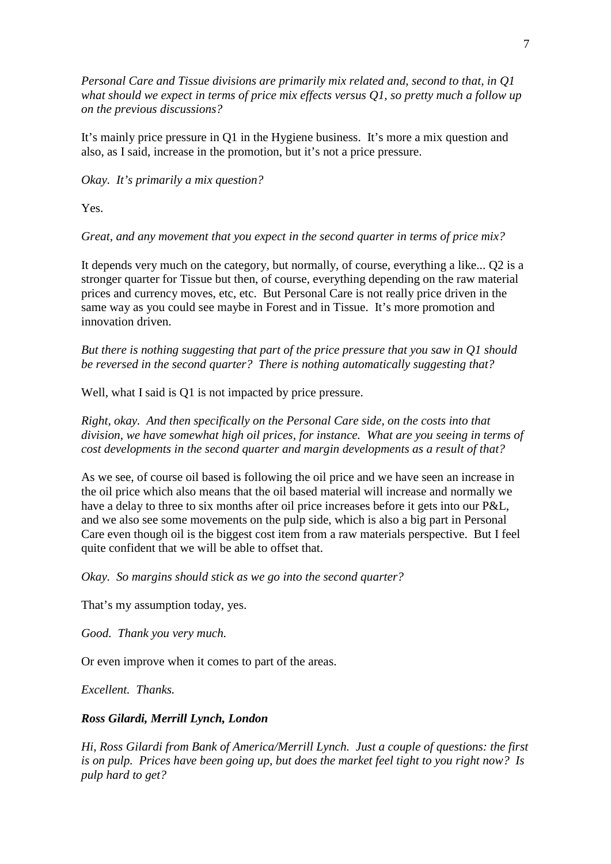*Personal Care and Tissue divisions are primarily mix related and, second to that, in Q1 what should we expect in terms of price mix effects versus Q1, so pretty much a follow up on the previous discussions?*

It's mainly price pressure in Q1 in the Hygiene business. It's more a mix question and also, as I said, increase in the promotion, but it's not a price pressure.

*Okay. It's primarily a mix question?*

Yes.

*Great, and any movement that you expect in the second quarter in terms of price mix?* 

It depends very much on the category, but normally, of course, everything a like... Q2 is a stronger quarter for Tissue but then, of course, everything depending on the raw material prices and currency moves, etc, etc. But Personal Care is not really price driven in the same way as you could see maybe in Forest and in Tissue. It's more promotion and innovation driven.

*But there is nothing suggesting that part of the price pressure that you saw in Q1 should be reversed in the second quarter? There is nothing automatically suggesting that?*

Well, what I said is Q1 is not impacted by price pressure.

*Right, okay. And then specifically on the Personal Care side, on the costs into that division, we have somewhat high oil prices, for instance. What are you seeing in terms of cost developments in the second quarter and margin developments as a result of that?*

As we see, of course oil based is following the oil price and we have seen an increase in the oil price which also means that the oil based material will increase and normally we have a delay to three to six months after oil price increases before it gets into our P&L, and we also see some movements on the pulp side, which is also a big part in Personal Care even though oil is the biggest cost item from a raw materials perspective. But I feel quite confident that we will be able to offset that.

*Okay. So margins should stick as we go into the second quarter?*

That's my assumption today, yes.

*Good. Thank you very much.*

Or even improve when it comes to part of the areas.

*Excellent. Thanks.*

#### *Ross Gilardi, Merrill Lynch, London*

*Hi, Ross Gilardi from Bank of America/Merrill Lynch. Just a couple of questions: the first is on pulp. Prices have been going up, but does the market feel tight to you right now? Is pulp hard to get?*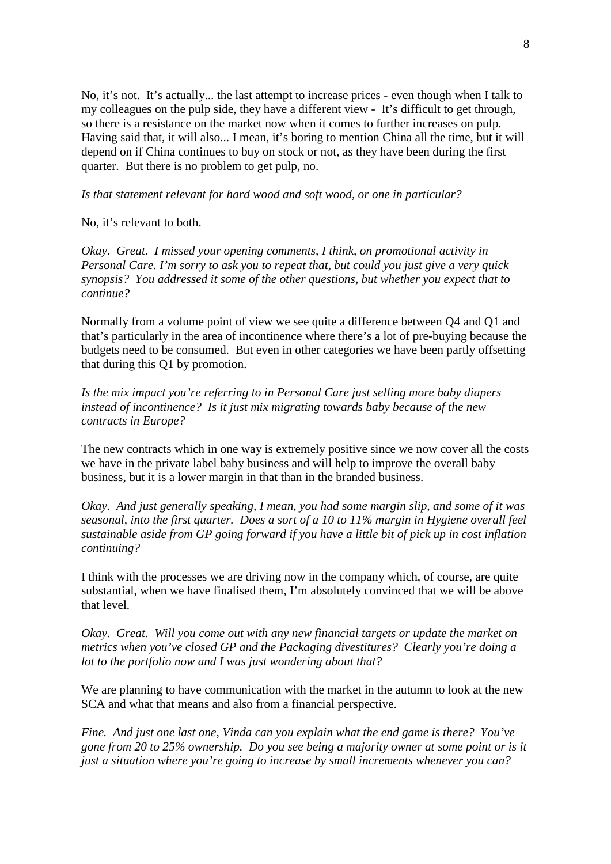No, it's not. It's actually... the last attempt to increase prices - even though when I talk to my colleagues on the pulp side, they have a different view - It's difficult to get through, so there is a resistance on the market now when it comes to further increases on pulp. Having said that, it will also... I mean, it's boring to mention China all the time, but it will depend on if China continues to buy on stock or not, as they have been during the first quarter. But there is no problem to get pulp, no.

*Is that statement relevant for hard wood and soft wood, or one in particular?*

No, it's relevant to both.

*Okay. Great. I missed your opening comments, I think, on promotional activity in Personal Care. I'm sorry to ask you to repeat that, but could you just give a very quick synopsis? You addressed it some of the other questions, but whether you expect that to continue?*

Normally from a volume point of view we see quite a difference between Q4 and Q1 and that's particularly in the area of incontinence where there's a lot of pre-buying because the budgets need to be consumed. But even in other categories we have been partly offsetting that during this Q1 by promotion.

*Is the mix impact you're referring to in Personal Care just selling more baby diapers instead of incontinence? Is it just mix migrating towards baby because of the new contracts in Europe?*

The new contracts which in one way is extremely positive since we now cover all the costs we have in the private label baby business and will help to improve the overall baby business, but it is a lower margin in that than in the branded business.

*Okay. And just generally speaking, I mean, you had some margin slip, and some of it was seasonal, into the first quarter. Does a sort of a 10 to 11% margin in Hygiene overall feel sustainable aside from GP going forward if you have a little bit of pick up in cost inflation continuing?*

I think with the processes we are driving now in the company which, of course, are quite substantial, when we have finalised them, I'm absolutely convinced that we will be above that level.

*Okay. Great. Will you come out with any new financial targets or update the market on metrics when you've closed GP and the Packaging divestitures? Clearly you're doing a lot to the portfolio now and I was just wondering about that?*

We are planning to have communication with the market in the autumn to look at the new SCA and what that means and also from a financial perspective.

*Fine. And just one last one, Vinda can you explain what the end game is there? You've gone from 20 to 25% ownership. Do you see being a majority owner at some point or is it just a situation where you're going to increase by small increments whenever you can?*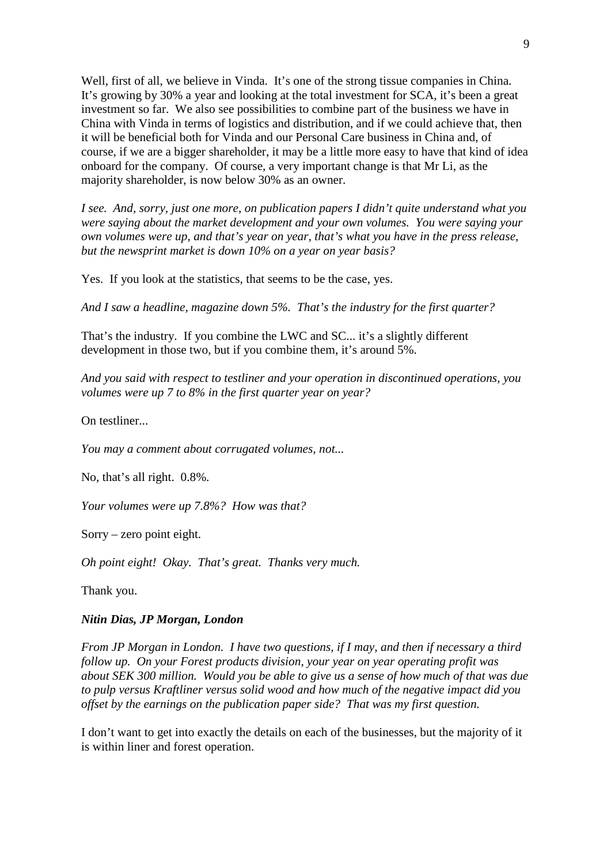Well, first of all, we believe in Vinda. It's one of the strong tissue companies in China. It's growing by 30% a year and looking at the total investment for SCA, it's been a great investment so far. We also see possibilities to combine part of the business we have in China with Vinda in terms of logistics and distribution, and if we could achieve that, then it will be beneficial both for Vinda and our Personal Care business in China and, of course, if we are a bigger shareholder, it may be a little more easy to have that kind of idea onboard for the company. Of course, a very important change is that Mr Li, as the majority shareholder, is now below 30% as an owner.

*I see. And, sorry, just one more, on publication papers I didn't quite understand what you were saying about the market development and your own volumes. You were saying your own volumes were up, and that's year on year, that's what you have in the press release, but the newsprint market is down 10% on a year on year basis?*

Yes. If you look at the statistics, that seems to be the case, yes.

*And I saw a headline, magazine down 5%. That's the industry for the first quarter?*

That's the industry. If you combine the LWC and SC... it's a slightly different development in those two, but if you combine them, it's around 5%.

*And you said with respect to testliner and your operation in discontinued operations, you volumes were up 7 to 8% in the first quarter year on year?*

On testliner...

*You may a comment about corrugated volumes, not...*

No, that's all right. 0.8%*.*

*Your volumes were up 7.8%? How was that?*

Sorry – zero point eight.

*Oh point eight! Okay. That's great. Thanks very much.* 

Thank you.

#### *Nitin Dias, JP Morgan, London*

*From JP Morgan in London. I have two questions, if I may, and then if necessary a third follow up. On your Forest products division, your year on year operating profit was about SEK 300 million. Would you be able to give us a sense of how much of that was due to pulp versus Kraftliner versus solid wood and how much of the negative impact did you offset by the earnings on the publication paper side? That was my first question.*

I don't want to get into exactly the details on each of the businesses, but the majority of it is within liner and forest operation.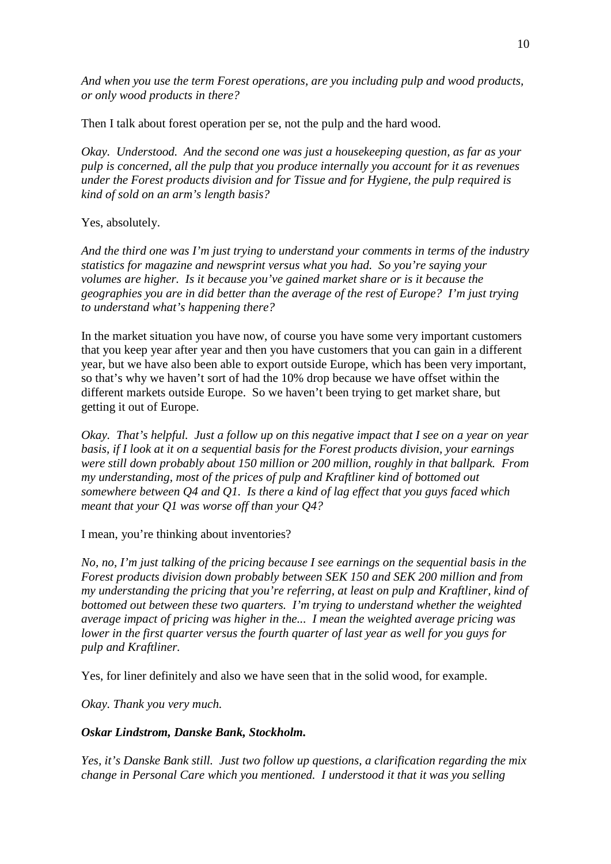*And when you use the term Forest operations, are you including pulp and wood products, or only wood products in there?*

Then I talk about forest operation per se, not the pulp and the hard wood.

*Okay. Understood. And the second one was just a housekeeping question, as far as your pulp is concerned, all the pulp that you produce internally you account for it as revenues under the Forest products division and for Tissue and for Hygiene, the pulp required is kind of sold on an arm's length basis?*

## Yes, absolutely.

*And the third one was I'm just trying to understand your comments in terms of the industry statistics for magazine and newsprint versus what you had. So you're saying your volumes are higher. Is it because you've gained market share or is it because the geographies you are in did better than the average of the rest of Europe? I'm just trying to understand what's happening there?*

In the market situation you have now, of course you have some very important customers that you keep year after year and then you have customers that you can gain in a different year, but we have also been able to export outside Europe, which has been very important, so that's why we haven't sort of had the 10% drop because we have offset within the different markets outside Europe. So we haven't been trying to get market share, but getting it out of Europe.

*Okay. That's helpful. Just a follow up on this negative impact that I see on a year on year basis, if I look at it on a sequential basis for the Forest products division, your earnings were still down probably about 150 million or 200 million, roughly in that ballpark. From my understanding, most of the prices of pulp and Kraftliner kind of bottomed out somewhere between Q4 and Q1. Is there a kind of lag effect that you guys faced which meant that your Q1 was worse off than your Q4?*

I mean, you're thinking about inventories?

*No, no, I'm just talking of the pricing because I see earnings on the sequential basis in the Forest products division down probably between SEK 150 and SEK 200 million and from my understanding the pricing that you're referring, at least on pulp and Kraftliner, kind of bottomed out between these two quarters. I'm trying to understand whether the weighted average impact of pricing was higher in the... I mean the weighted average pricing was lower in the first quarter versus the fourth quarter of last year as well for you guys for pulp and Kraftliner.* 

Yes, for liner definitely and also we have seen that in the solid wood, for example.

*Okay. Thank you very much.*

## *Oskar Lindstrom, Danske Bank, Stockholm.*

*Yes, it's Danske Bank still. Just two follow up questions, a clarification regarding the mix change in Personal Care which you mentioned. I understood it that it was you selling*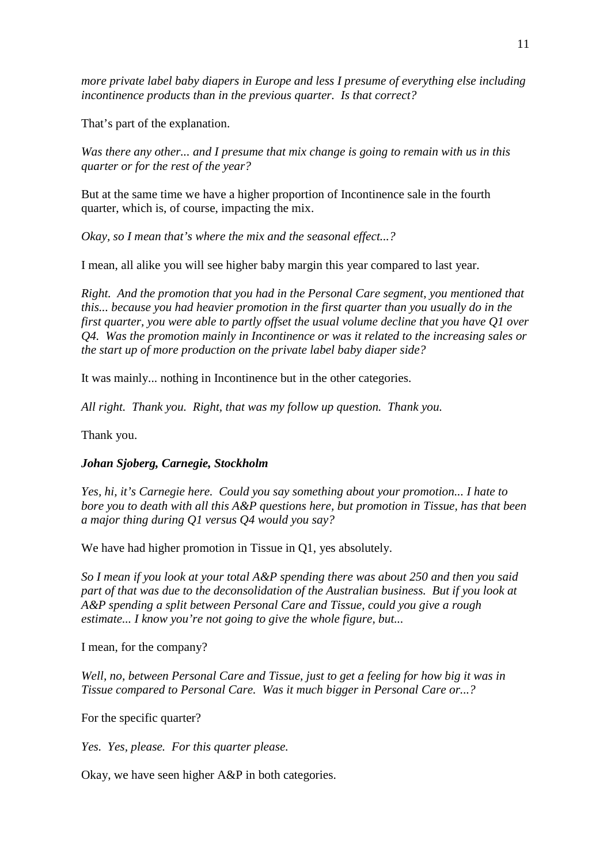*more private label baby diapers in Europe and less I presume of everything else including incontinence products than in the previous quarter. Is that correct?*

That's part of the explanation.

*Was there any other... and I presume that mix change is going to remain with us in this quarter or for the rest of the year?*

But at the same time we have a higher proportion of Incontinence sale in the fourth quarter, which is, of course, impacting the mix.

*Okay, so I mean that's where the mix and the seasonal effect...?*

I mean, all alike you will see higher baby margin this year compared to last year.

*Right. And the promotion that you had in the Personal Care segment, you mentioned that this... because you had heavier promotion in the first quarter than you usually do in the first quarter, you were able to partly offset the usual volume decline that you have Q1 over Q4. Was the promotion mainly in Incontinence or was it related to the increasing sales or the start up of more production on the private label baby diaper side?*

It was mainly... nothing in Incontinence but in the other categories.

*All right. Thank you. Right, that was my follow up question. Thank you.*

Thank you.

## *Johan Sjoberg, Carnegie, Stockholm*

*Yes, hi, it's Carnegie here. Could you say something about your promotion... I hate to bore you to death with all this A&P questions here, but promotion in Tissue, has that been a major thing during Q1 versus Q4 would you say?*

We have had higher promotion in Tissue in Q1, yes absolutely.

*So I mean if you look at your total A&P spending there was about 250 and then you said part of that was due to the deconsolidation of the Australian business. But if you look at A&P spending a split between Personal Care and Tissue, could you give a rough estimate... I know you're not going to give the whole figure, but...*

I mean, for the company?

*Well, no, between Personal Care and Tissue, just to get a feeling for how big it was in Tissue compared to Personal Care. Was it much bigger in Personal Care or...?*

For the specific quarter?

*Yes. Yes, please. For this quarter please.*

Okay, we have seen higher A&P in both categories.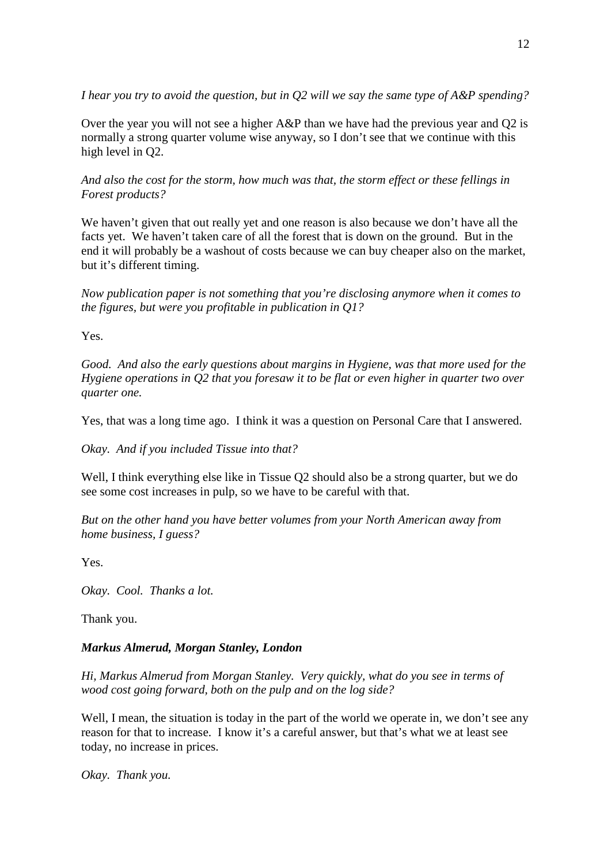*I hear you try to avoid the question, but in Q2 will we say the same type of A&P spending?*

Over the year you will not see a higher A&P than we have had the previous year and Q2 is normally a strong quarter volume wise anyway, so I don't see that we continue with this high level in Q2.

*And also the cost for the storm, how much was that, the storm effect or these fellings in Forest products?*

We haven't given that out really yet and one reason is also because we don't have all the facts yet. We haven't taken care of all the forest that is down on the ground. But in the end it will probably be a washout of costs because we can buy cheaper also on the market, but it's different timing.

*Now publication paper is not something that you're disclosing anymore when it comes to the figures, but were you profitable in publication in Q1?*

Yes.

*Good. And also the early questions about margins in Hygiene, was that more used for the Hygiene operations in Q2 that you foresaw it to be flat or even higher in quarter two over quarter one.* 

Yes, that was a long time ago. I think it was a question on Personal Care that I answered.

*Okay. And if you included Tissue into that?*

Well, I think everything else like in Tissue Q2 should also be a strong quarter, but we do see some cost increases in pulp, so we have to be careful with that.

*But on the other hand you have better volumes from your North American away from home business, I guess?*

Yes.

*Okay. Cool. Thanks a lot.* 

Thank you.

## *Markus Almerud, Morgan Stanley, London*

*Hi, Markus Almerud from Morgan Stanley. Very quickly, what do you see in terms of wood cost going forward, both on the pulp and on the log side?* 

Well, I mean, the situation is today in the part of the world we operate in, we don't see any reason for that to increase. I know it's a careful answer, but that's what we at least see today, no increase in prices.

*Okay. Thank you.*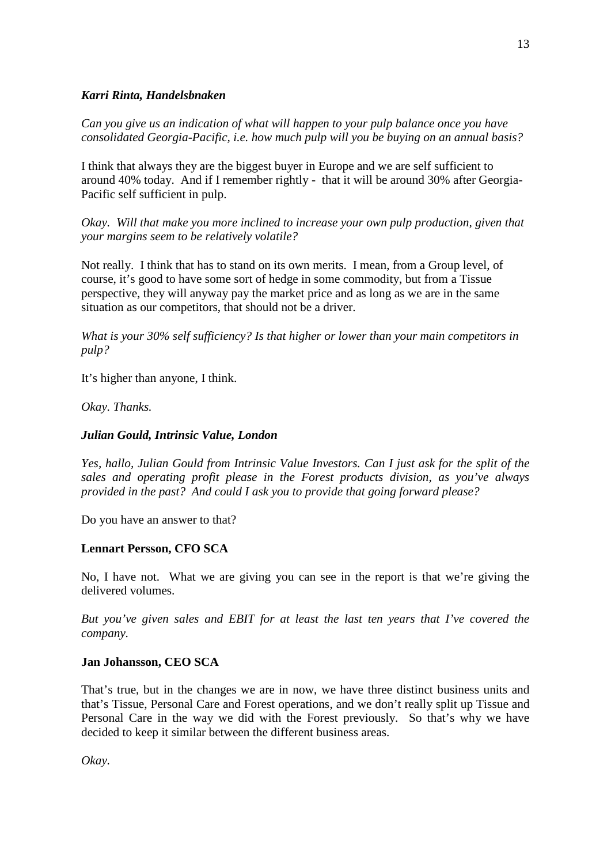### *Karri Rinta, Handelsbnaken*

*Can you give us an indication of what will happen to your pulp balance once you have consolidated Georgia-Pacific, i.e. how much pulp will you be buying on an annual basis?*

I think that always they are the biggest buyer in Europe and we are self sufficient to around 40% today. And if I remember rightly - that it will be around 30% after Georgia-Pacific self sufficient in pulp.

*Okay. Will that make you more inclined to increase your own pulp production, given that your margins seem to be relatively volatile?*

Not really. I think that has to stand on its own merits. I mean, from a Group level, of course, it's good to have some sort of hedge in some commodity, but from a Tissue perspective, they will anyway pay the market price and as long as we are in the same situation as our competitors, that should not be a driver.

*What is your 30% self sufficiency? Is that higher or lower than your main competitors in pulp?*

It's higher than anyone, I think.

*Okay. Thanks.*

### *Julian Gould, Intrinsic Value, London*

*Yes, hallo, Julian Gould from Intrinsic Value Investors. Can I just ask for the split of the sales and operating profit please in the Forest products division, as you've always provided in the past? And could I ask you to provide that going forward please?*

Do you have an answer to that?

## **Lennart Persson, CFO SCA**

No, I have not. What we are giving you can see in the report is that we're giving the delivered volumes.

*But you've given sales and EBIT for at least the last ten years that I've covered the company.* 

#### **Jan Johansson, CEO SCA**

That's true, but in the changes we are in now, we have three distinct business units and that's Tissue, Personal Care and Forest operations, and we don't really split up Tissue and Personal Care in the way we did with the Forest previously. So that's why we have decided to keep it similar between the different business areas.

*Okay.*